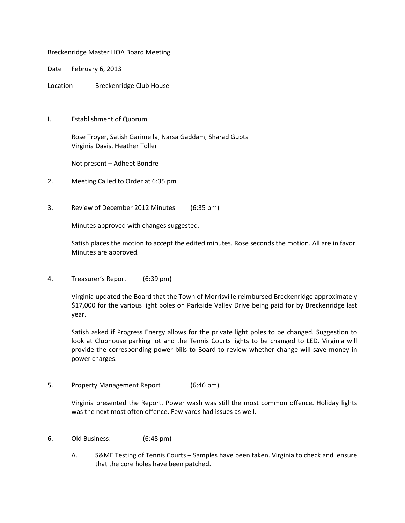Breckenridge Master HOA Board Meeting

Date February 6, 2013

Location Breckenridge Club House

I. Establishment of Quorum

 Rose Troyer, Satish Garimella, Narsa Gaddam, Sharad Gupta Virginia Davis, Heather Toller

Not present – Adheet Bondre

- 2. Meeting Called to Order at 6:35 pm
- 3. Review of December 2012 Minutes (6:35 pm)

Minutes approved with changes suggested.

Satish places the motion to accept the edited minutes. Rose seconds the motion. All are in favor. Minutes are approved.

4. Treasurer's Report (6:39 pm)

 Virginia updated the Board that the Town of Morrisville reimbursed Breckenridge approximately \$17,000 for the various light poles on Parkside Valley Drive being paid for by Breckenridge last year.

Satish asked if Progress Energy allows for the private light poles to be changed. Suggestion to look at Clubhouse parking lot and the Tennis Courts lights to be changed to LED. Virginia will provide the corresponding power bills to Board to review whether change will save money in power charges.

5. Property Management Report (6:46 pm)

 Virginia presented the Report. Power wash was still the most common offence. Holiday lights was the next most often offence. Few yards had issues as well.

- 6. Old Business: (6:48 pm)
	- A. S&ME Testing of Tennis Courts Samples have been taken. Virginia to check and ensure that the core holes have been patched.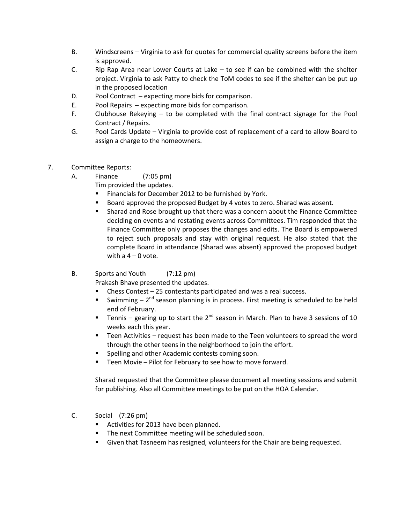- B. Windscreens Virginia to ask for quotes for commercial quality screens before the item is approved.
- C. Rip Rap Area near Lower Courts at Lake to see if can be combined with the shelter project. Virginia to ask Patty to check the ToM codes to see if the shelter can be put up in the proposed location
- D. Pool Contract expecting more bids for comparison.
- E. Pool Repairs expecting more bids for comparison.
- F. Clubhouse Rekeying to be completed with the final contract signage for the Pool Contract / Repairs.
- G. Pool Cards Update Virginia to provide cost of replacement of a card to allow Board to assign a charge to the homeowners.
- 7. Committee Reports:
	- A. Finance (7:05 pm)
		- Tim provided the updates.
			- **Financials for December 2012 to be furnished by York.**
			- Board approved the proposed Budget by 4 votes to zero. Sharad was absent.
			- Sharad and Rose brought up that there was a concern about the Finance Committee deciding on events and restating events across Committees. Tim responded that the Finance Committee only proposes the changes and edits. The Board is empowered to reject such proposals and stay with original request. He also stated that the complete Board in attendance (Sharad was absent) approved the proposed budget with a  $4 - 0$  vote.
	- B. Sports and Youth (7:12 pm)

Prakash Bhave presented the updates.

- $\blacksquare$  Chess Contest 25 contestants participated and was a real success.
- Swimming  $-2^{nd}$  season planning is in process. First meeting is scheduled to be held end of February.
- Tennis gearing up to start the  $2^{nd}$  season in March. Plan to have 3 sessions of 10 weeks each this year.
- Teen Activities request has been made to the Teen volunteers to spread the word through the other teens in the neighborhood to join the effort.
- **Spelling and other Academic contests coming soon.**
- Teen Movie Pilot for February to see how to move forward.

 Sharad requested that the Committee please document all meeting sessions and submit for publishing. Also all Committee meetings to be put on the HOA Calendar.

- C. Social (7:26 pm)
	- Activities for 2013 have been planned.
	- **The next Committee meeting will be scheduled soon.**
	- Given that Tasneem has resigned, volunteers for the Chair are being requested.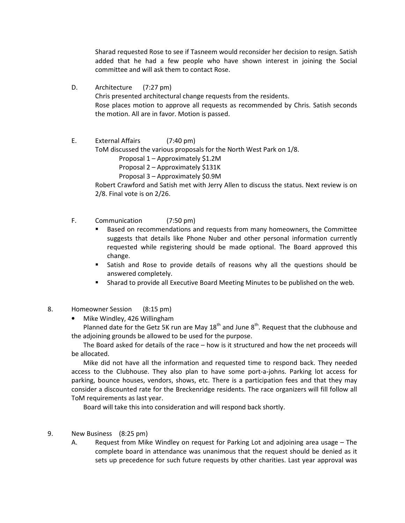Sharad requested Rose to see if Tasneem would reconsider her decision to resign. Satish added that he had a few people who have shown interest in joining the Social committee and will ask them to contact Rose.

D. Architecture (7:27 pm)

Chris presented architectural change requests from the residents. Rose places motion to approve all requests as recommended by Chris. Satish seconds the motion. All are in favor. Motion is passed.

 E. External Affairs (7:40 pm) ToM discussed the various proposals for the North West Park on 1/8. Proposal 1 – Approximately \$1.2M Proposal 2 – Approximately \$131K Proposal 3 – Approximately \$0.9M Robert Crawford and Satish met with Jerry Allen to discuss the status. Next review is on

2/8. Final vote is on 2/26.

- F. Communication (7:50 pm)
	- Based on recommendations and requests from many homeowners, the Committee suggests that details like Phone Nuber and other personal information currently requested while registering should be made optional. The Board approved this change.
	- Satish and Rose to provide details of reasons why all the questions should be answered completely.
	- Sharad to provide all Executive Board Meeting Minutes to be published on the web.
- 8. Homeowner Session (8:15 pm)
	- Mike Windley, 426 Willingham

Planned date for the Getz 5K run are May  $18<sup>th</sup>$  and June  $8<sup>th</sup>$ . Request that the clubhouse and the adjoining grounds be allowed to be used for the purpose.

The Board asked for details of the race – how is it structured and how the net proceeds will be allocated.

Mike did not have all the information and requested time to respond back. They needed access to the Clubhouse. They also plan to have some port-a-johns. Parking lot access for parking, bounce houses, vendors, shows, etc. There is a participation fees and that they may consider a discounted rate for the Breckenridge residents. The race organizers will fill follow all ToM requirements as last year.

Board will take this into consideration and will respond back shortly.

- 9. New Business (8:25 pm)
	- A. Request from Mike Windley on request for Parking Lot and adjoining area usage The complete board in attendance was unanimous that the request should be denied as it sets up precedence for such future requests by other charities. Last year approval was